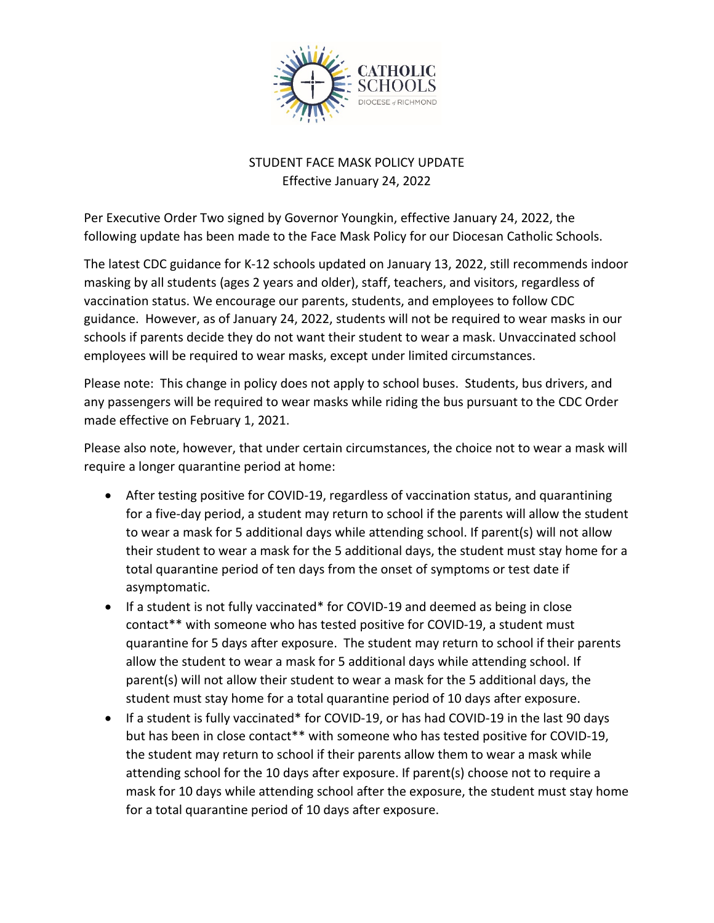

## STUDENT FACE MASK POLICY UPDATE Effective January 24, 2022

Per Executive Order Two signed by Governor Youngkin, effective January 24, 2022, the following update has been made to the Face Mask Policy for our Diocesan Catholic Schools.

The latest CDC guidance for K-12 schools updated on January 13, 2022, still recommends indoor masking by all students (ages 2 years and older), staff, teachers, and visitors, regardless of vaccination status. We encourage our parents, students, and employees to follow CDC guidance. However, as of January 24, 2022, students will not be required to wear masks in our schools if parents decide they do not want their student to wear a mask. Unvaccinated school employees will be required to wear masks, except under limited circumstances.

Please note: This change in policy does not apply to school buses. Students, bus drivers, and any passengers will be required to wear masks while riding the bus pursuant to the CDC Order made effective on February 1, 2021.

Please also note, however, that under certain circumstances, the choice not to wear a mask will require a longer quarantine period at home:

- After testing positive for COVID-19, regardless of vaccination status, and quarantining for a five-day period, a student may return to school if the parents will allow the student to wear a mask for 5 additional days while attending school. If parent(s) will not allow their student to wear a mask for the 5 additional days, the student must stay home for a total quarantine period of ten days from the onset of symptoms or test date if asymptomatic.
- If a student is not fully vaccinated\* for COVID-19 and deemed as being in close contact\*\* with someone who has tested positive for COVID-19, a student must quarantine for 5 days after exposure. The student may return to school if their parents allow the student to wear a mask for 5 additional days while attending school. If parent(s) will not allow their student to wear a mask for the 5 additional days, the student must stay home for a total quarantine period of 10 days after exposure.
- If a student is fully vaccinated\* for COVID-19, or has had COVID-19 in the last 90 days but has been in close contact\*\* with someone who has tested positive for COVID-19, the student may return to school if their parents allow them to wear a mask while attending school for the 10 days after exposure. If parent(s) choose not to require a mask for 10 days while attending school after the exposure, the student must stay home for a total quarantine period of 10 days after exposure.